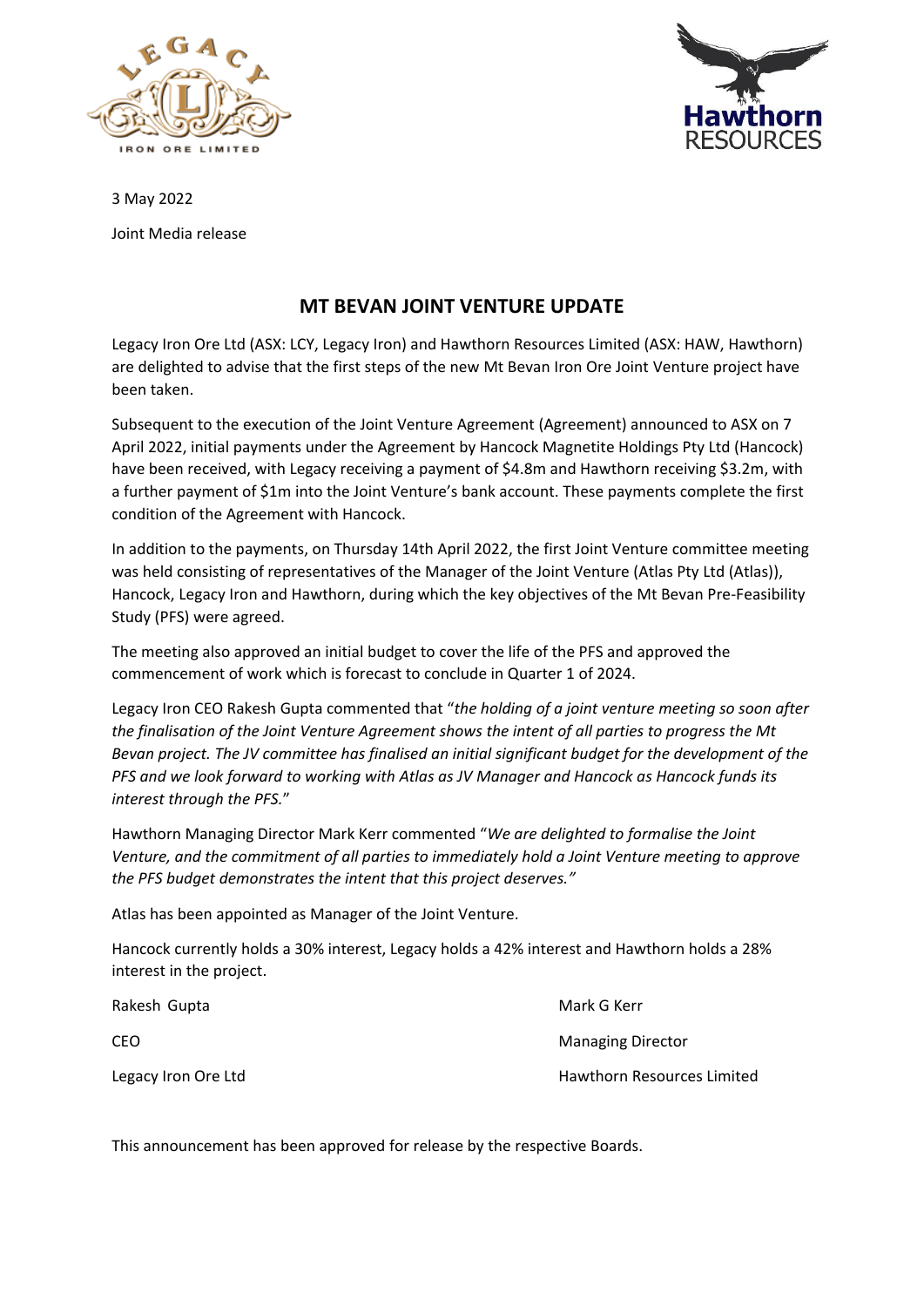



3 May 2022

Joint Media release

# **MT BEVAN JOINT VENTURE UPDATE**

Legacy Iron Ore Ltd (ASX: LCY, Legacy Iron) and Hawthorn Resources Limited (ASX: HAW, Hawthorn) are delighted to advise that the first steps of the new Mt Bevan Iron Ore Joint Venture project have been taken.

Subsequent to the execution of the Joint Venture Agreement (Agreement) announced to ASX on 7 April 2022, initial payments under the Agreement by Hancock Magnetite Holdings Pty Ltd (Hancock) have been received, with Legacy receiving a payment of \$4.8m and Hawthorn receiving \$3.2m, with a further payment of \$1m into the Joint Venture's bank account. These payments complete the first condition of the Agreement with Hancock.

In addition to the payments, on Thursday 14th April 2022, the first Joint Venture committee meeting was held consisting of representatives of the Manager of the Joint Venture (Atlas Pty Ltd (Atlas)), Hancock, Legacy Iron and Hawthorn, during which the key objectives of the Mt Bevan Pre-Feasibility Study (PFS) were agreed.

The meeting also approved an initial budget to cover the life of the PFS and approved the commencement of work which is forecast to conclude in Quarter 1 of 2024.

Legacy Iron CEO Rakesh Gupta commented that "*the holding of a joint venture meeting so soon after the finalisation of the Joint Venture Agreement shows the intent of all parties to progress the Mt Bevan project. The JV committee has finalised an initial significant budget for the development of the PFS and we look forward to working with Atlas as JV Manager and Hancock as Hancock funds its interest through the PFS.*"

Hawthorn Managing Director Mark Kerr commented "*We are delighted to formalise the Joint Venture, and the commitment of all parties to immediately hold a Joint Venture meeting to approve the PFS budget demonstrates the intent that this project deserves."*

Atlas has been appointed as Manager of the Joint Venture.

Hancock currently holds a 30% interest, Legacy holds a 42% interest and Hawthorn holds a 28% interest in the project.

| Rakesh Gupta        | Mark G Kerr                       |
|---------------------|-----------------------------------|
| CEO                 | <b>Managing Director</b>          |
| Legacy Iron Ore Ltd | <b>Hawthorn Resources Limited</b> |

This announcement has been approved for release by the respective Boards.